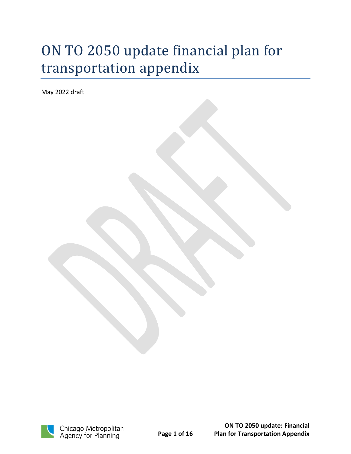# ON TO 2050 update financial plan for transportation appendix

May 2022 draft

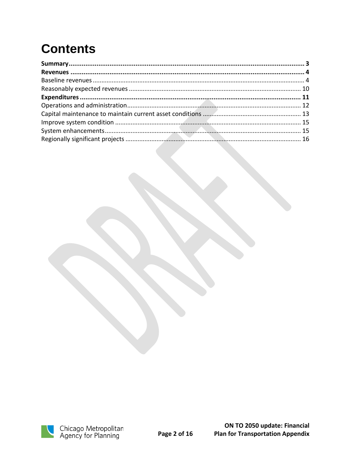# **Contents**

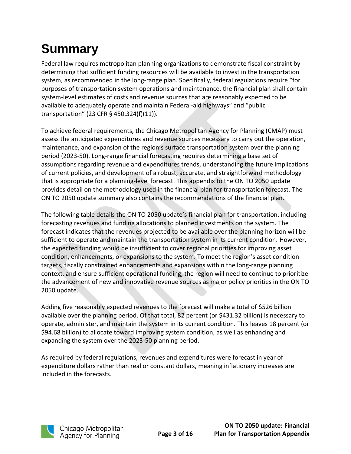# <span id="page-2-0"></span>**Summary**

Federal law requires metropolitan planning organizations to demonstrate fiscal constraint by determining that sufficient funding resources will be available to invest in the transportation system, as recommended in the long-range plan. Specifically, federal regulations require "for purposes of transportation system operations and maintenance, the financial plan shall contain system-level estimates of costs and revenue sources that are reasonably expected to be available to adequately operate and maintain Federal-aid highways" and "public transportation" (23 CFR § 450.324(f)(11)).

To achieve federal requirements, the Chicago Metropolitan Agency for Planning (CMAP) must assess the anticipated expenditures and revenue sources necessary to carry out the operation, maintenance, and expansion of the region's surface transportation system over the planning period (2023-50). Long-range financial forecasting requires determining a base set of assumptions regarding revenue and expenditures trends, understanding the future implications of current policies, and development of a robust, accurate, and straightforward methodology that is appropriate for a planning-level forecast. This appendix to the ON TO 2050 update provides detail on the methodology used in the financial plan for transportation forecast. The ON TO 2050 update summary also contains the recommendations of the financial plan.

The following table details the ON TO 2050 update's financial plan for transportation, including forecasting revenues and funding allocations to planned investments on the system. The forecast indicates that the revenues projected to be available over the planning horizon will be sufficient to operate and maintain the transportation system in its current condition. However, the expected funding would be insufficient to cover regional priorities for improving asset condition, enhancements, or expansions to the system. To meet the region's asset condition targets, fiscally constrained enhancements and expansions within the long-range planning context, and ensure sufficient operational funding, the region will need to continue to prioritize the advancement of new and innovative revenue sources as major policy priorities in the ON TO 2050 update.

Adding five reasonably expected revenues to the forecast will make a total of \$526 billion available over the planning period. Of that total, 82 percent (or \$431.32 billion) is necessary to operate, administer, and maintain the system in its current condition. This leaves 18 percent (or \$94.68 billion) to allocate toward improving system condition, as well as enhancing and expanding the system over the 2023-50 planning period.

As required by federal regulations, revenues and expenditures were forecast in year of expenditure dollars rather than real or constant dollars, meaning inflationary increases are included in the forecasts.

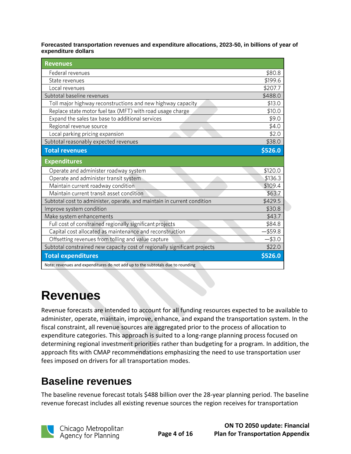**Forecasted transportation revenues and expenditure allocations, 2023-50, in billions of year of expenditure dollars**

| <b>Revenues</b>                                                                |           |
|--------------------------------------------------------------------------------|-----------|
| Federal revenues                                                               | \$80.8    |
| State revenues                                                                 | \$199.6   |
| Local revenues                                                                 | \$207.7   |
| Subtotal baseline revenues                                                     | \$488.0   |
| Toll major highway reconstructions and new highway capacity                    | \$13.0    |
| Replace state motor fuel tax (MFT) with road usage charge                      | \$10.0    |
| Expand the sales tax base to additional services                               | \$9.0     |
| Regional revenue source                                                        | \$4.0     |
| Local parking pricing expansion                                                | \$2.0     |
| Subtotal reasonably expected revenues                                          | \$38.0    |
| <b>Total revenues</b>                                                          | \$526.0   |
| <b>Expenditures</b>                                                            |           |
| Operate and administer roadway system                                          | \$120.0   |
| Operate and administer transit system                                          | \$136.3   |
| Maintain current roadway condition                                             | \$109.4   |
| Maintain current transit asset condition                                       | \$63.7    |
| Subtotal cost to administer, operate, and maintain in current condition        | \$429.5   |
| Improve system condition                                                       | \$30.8    |
| Make system enhancements                                                       | \$43.7    |
| Full cost of constrained regionally significant projects                       | \$84.8    |
| Capital cost allocated as maintenance and reconstruction                       | -\$59.8   |
| Offsetting revenues from tolling and value capture                             | $-$ \$3.0 |
| Subtotal constrained new capacity cost of regionally significant projects      | \$22.0    |
| <b>Total expenditures</b>                                                      | \$526.0   |
| Note: revenues and expenditures do not add up to the subtotals due to rounding |           |

## <span id="page-3-0"></span>**Revenues**

Revenue forecasts are intended to account for all funding resources expected to be available to administer, operate, maintain, improve, enhance, and expand the transportation system. In the fiscal constraint, all revenue sources are aggregated prior to the process of allocation to expenditure categories. This approach is suited to a long-range planning process focused on determining regional investment priorities rather than budgeting for a program. In addition, the approach fits with CMAP recommendations emphasizing the need to use transportation user fees imposed on drivers for all transportation modes.

## <span id="page-3-1"></span>**Baseline revenues**

The baseline revenue forecast totals \$488 billion over the 28-year planning period. The baseline revenue forecast includes all existing revenue sources the region receives for transportation

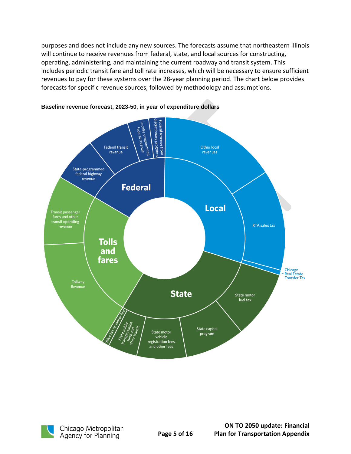purposes and does not include any new sources. The forecasts assume that northeastern Illinois will continue to receive revenues from federal, state, and local sources for constructing, operating, administering, and maintaining the current roadway and transit system. This includes periodic transit fare and toll rate increases, which will be necessary to ensure sufficient revenues to pay for these systems over the 28-year planning period. The chart below provides forecasts for specific revenue sources, followed by methodology and assumptions.



#### **Baseline revenue forecast, 2023-50, in year of expenditure dollars**

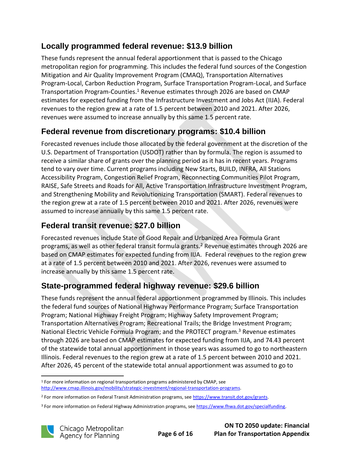#### **Locally programmed federal revenue: \$13.9 billion**

These funds represent the annual federal apportionment that is passed to the Chicago metropolitan region for programming. This includes the federal fund sources of the Congestion Mitigation and Air Quality Improvement Program (CMAQ), Transportation Alternatives Program-Local, Carbon Reduction Program, Surface Transportation Program-Local, and Surface Transportation Program-Counties.<sup>1</sup> Revenue estimates through 2026 are based on CMAP estimates for expected funding from the Infrastructure Investment and Jobs Act (IIJA). Federal revenues to the region grew at a rate of 1.5 percent between 2010 and 2021. After 2026, revenues were assumed to increase annually by this same 1.5 percent rate.

#### **Federal revenue from discretionary programs: \$10.4 billion**

Forecasted revenues include those allocated by the federal government at the discretion of the U.S. Department of Transportation (USDOT) rather than by formula. The region is assumed to receive a similar share of grants over the planning period as it has in recent years. Programs tend to vary over time. Current programs including New Starts, BUILD, INFRA, All Stations Accessibility Program, Congestion Relief Program, Reconnecting Communities Pilot Program, RAISE, Safe Streets and Roads for All, Active Transportation Infrastructure Investment Program, and Strengthening Mobility and Revolutionizing Transportation (SMART). Federal revenues to the region grew at a rate of 1.5 percent between 2010 and 2021. After 2026, revenues were assumed to increase annually by this same 1.5 percent rate.

#### **Federal transit revenue: \$27.0 billion**

Forecasted revenues include State of Good Repair and Urbanized Area Formula Grant programs, as well as other federal transit formula grants.<sup>2</sup> Revenue estimates through 2026 are based on CMAP estimates for expected funding from IIJA. Federal revenues to the region grew at a rate of 1.5 percent between 2010 and 2021. After 2026, revenues were assumed to increase annually by this same 1.5 percent rate.

#### **State-programmed federal highway revenue: \$29.6 billion**

These funds represent the annual federal apportionment programmed by Illinois. This includes the federal fund sources of National Highway Performance Program; Surface Transportation Program; National Highway Freight Program; Highway Safety Improvement Program; Transportation Alternatives Program; Recreational Trails; the Bridge Investment Program; National Electric Vehicle Formula Program; and the PROTECT program.<sup>3</sup> Revenue estimates through 2026 are based on CMAP estimates for expected funding from IIJA, and 74.43 percent of the statewide total annual apportionment in those years was assumed to go to northeastern Illinois. Federal revenues to the region grew at a rate of 1.5 percent between 2010 and 2021. After 2026, 45 percent of the statewide total annual apportionment was assumed to go to

<sup>&</sup>lt;sup>3</sup> For more information on Federal Highway Administration programs, see [https://www.fhwa.dot.gov/specialfunding.](https://www.fhwa.dot.gov/specialfunding)



<sup>1</sup> For more information on regional transportation programs administered by CMAP, see [http://www.cmap.illinois.gov/mobility/strategic-investment/regional-transportation-programs.](http://www.cmap.illinois.gov/mobility/strategic-investment/regional-transportation-programs)

<sup>&</sup>lt;sup>2</sup> For more information on Federal Transit Administration programs, se[e https://www.transit.dot.gov/grants.](https://www.transit.dot.gov/grants)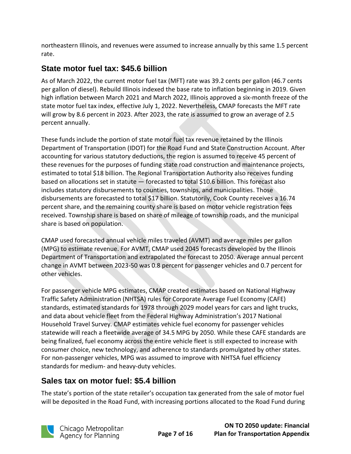northeastern Illinois, and revenues were assumed to increase annually by this same 1.5 percent rate.

#### **State motor fuel tax: \$45.6 billion**

As of March 2022, the current motor fuel tax (MFT) rate was 39.2 cents per gallon (46.7 cents per gallon of diesel). Rebuild Illinois indexed the base rate to inflation beginning in 2019. Given high inflation between March 2021 and March 2022, Illinois approved a six-month freeze of the state motor fuel tax index, effective July 1, 2022. Nevertheless, CMAP forecasts the MFT rate will grow by 8.6 percent in 2023. After 2023, the rate is assumed to grow an average of 2.5 percent annually.

These funds include the portion of state motor fuel tax revenue retained by the Illinois Department of Transportation (IDOT) for the Road Fund and State Construction Account. After accounting for various statutory deductions, the region is assumed to receive 45 percent of these revenues for the purposes of funding state road construction and maintenance projects, estimated to total \$18 billion. The Regional Transportation Authority also receives funding based on allocations set in statute — forecasted to total \$10.6 billion. This forecast also includes statutory disbursements to counties, townships, and municipalities. Those disbursements are forecasted to total \$17 billion. Statutorily, Cook County receives a 16.74 percent share, and the remaining county share is based on motor vehicle registration fees received. Township share is based on share of mileage of township roads, and the municipal share is based on population.

CMAP used forecasted annual vehicle miles traveled (AVMT) and average miles per gallon (MPG) to estimate revenue. For AVMT, CMAP used 2045 forecasts developed by the Illinois Department of Transportation and extrapolated the forecast to 2050. Average annual percent change in AVMT between 2023-50 was 0.8 percent for passenger vehicles and 0.7 percent for other vehicles.

For passenger vehicle MPG estimates, CMAP created estimates based on National Highway Traffic Safety Administration (NHTSA) rules for Corporate Average Fuel Economy (CAFE) standards, estimated standards for 1978 through 2029 model years for cars and light trucks, and data about vehicle fleet from the Federal Highway Administration's 2017 National Household Travel Survey. CMAP estimates vehicle fuel economy for passenger vehicles statewide will reach a fleetwide average of 34.5 MPG by 2050. While these CAFE standards are being finalized, fuel economy across the entire vehicle fleet is still expected to increase with consumer choice, new technology, and adherence to standards promulgated by other states. For non-passenger vehicles, MPG was assumed to improve with NHTSA fuel efficiency standards for medium- and heavy-duty vehicles.

#### **Sales tax on motor fuel: \$5.4 billion**

The state's portion of the state retailer's occupation tax generated from the sale of motor fuel will be deposited in the Road Fund, with increasing portions allocated to the Road Fund during

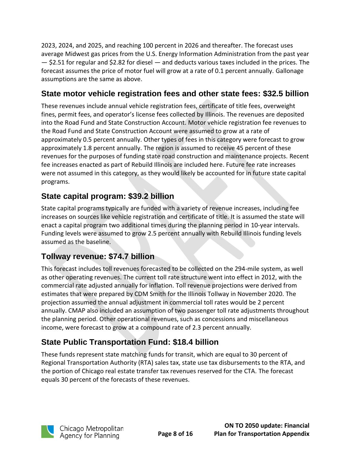2023, 2024, and 2025, and reaching 100 percent in 2026 and thereafter. The forecast uses average Midwest gas prices from the U.S. Energy Information Administration from the past year — \$2.51 for regular and \$2.82 for diesel — and deducts various taxes included in the prices. The forecast assumes the price of motor fuel will grow at a rate of 0.1 percent annually. Gallonage assumptions are the same as above.

#### **State motor vehicle registration fees and other state fees: \$32.5 billion**

These revenues include annual vehicle registration fees, certificate of title fees, overweight fines, permit fees, and operator's license fees collected by Illinois. The revenues are deposited into the Road Fund and State Construction Account. Motor vehicle registration fee revenues to the Road Fund and State Construction Account were assumed to grow at a rate of approximately 0.5 percent annually. Other types of fees in this category were forecast to grow approximately 1.8 percent annually. The region is assumed to receive 45 percent of these revenues for the purposes of funding state road construction and maintenance projects. Recent fee increases enacted as part of Rebuild Illinois are included here. Future fee rate increases were not assumed in this category, as they would likely be accounted for in future state capital programs.

#### **State capital program: \$39.2 billion**

State capital programs typically are funded with a variety of revenue increases, including fee increases on sources like vehicle registration and certificate of title. It is assumed the state will enact a capital program two additional times during the planning period in 10-year intervals. Funding levels were assumed to grow 2.5 percent annually with Rebuild Illinois funding levels assumed as the baseline.

#### **Tollway revenue: \$74.7 billion**

This forecast includes toll revenues forecasted to be collected on the 294-mile system, as well as other operating revenues. The current toll rate structure went into effect in 2012, with the commercial rate adjusted annually for inflation. Toll revenue projections were derived from estimates that were prepared by CDM Smith for the Illinois Tollway in November 2020. The projection assumed the annual adjustment in commercial toll rates would be 2 percent annually. CMAP also included an assumption of two passenger toll rate adjustments throughout the planning period. Other operational revenues, such as concessions and miscellaneous income, were forecast to grow at a compound rate of 2.3 percent annually.

### **State Public Transportation Fund: \$18.4 billion**

These funds represent state matching funds for transit, which are equal to 30 percent of Regional Transportation Authority (RTA) sales tax, state use tax disbursements to the RTA, and the portion of Chicago real estate transfer tax revenues reserved for the CTA. The forecast equals 30 percent of the forecasts of these revenues.

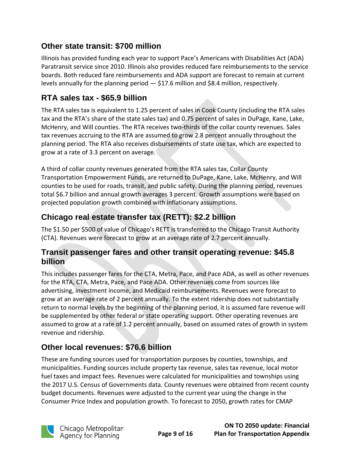#### **Other state transit: \$700 million**

Illinois has provided funding each year to support Pace's Americans with Disabilities Act (ADA) Paratransit service since 2010. Illinois also provides reduced fare reimbursements to the service boards. Both reduced fare reimbursements and ADA support are forecast to remain at current levels annually for the planning period — \$17.6 million and \$8.4 million, respectively.

#### **RTA sales tax - \$65.9 billion**

The RTA sales tax is equivalent to 1.25 percent of sales in Cook County (including the RTA sales tax and the RTA's share of the state sales tax) and 0.75 percent of sales in DuPage, Kane, Lake, McHenry, and Will counties. The RTA receives two-thirds of the collar county revenues. Sales tax revenues accruing to the RTA are assumed to grow 2.8 percent annually throughout the planning period. The RTA also receives disbursements of state use tax, which are expected to grow at a rate of 3.3 percent on average.

A third of collar county revenues generated from the RTA sales tax, Collar County Transportation Empowerment Funds, are returned to DuPage, Kane, Lake, McHenry, and Will counties to be used for roads, transit, and public safety. During the planning period, revenues total \$6.7 billion and annual growth averages 3 percent. Growth assumptions were based on projected population growth combined with inflationary assumptions.

#### **Chicago real estate transfer tax (RETT): \$2.2 billion**

The \$1.50 per \$500 of value of Chicago's RETT is transferred to the Chicago Transit Authority (CTA). Revenues were forecast to grow at an average rate of 2.7 percent annually.

#### **Transit passenger fares and other transit operating revenue: \$45.8 billion**

This includes passenger fares for the CTA, Metra, Pace, and Pace ADA, as well as other revenues for the RTA, CTA, Metra, Pace, and Pace ADA. Other revenues come from sources like advertising, investment income, and Medicaid reimbursements. Revenues were forecast to grow at an average rate of 2 percent annually. To the extent ridership does not substantially return to normal levels by the beginning of the planning period, it is assumed fare revenue will be supplemented by other federal or state operating support. Other operating revenues are assumed to grow at a rate of 1.2 percent annually, based on assumed rates of growth in system revenue and ridership.

#### **Other local revenues: \$76.6 billion**

These are funding sources used for transportation purposes by counties, townships, and municipalities. Funding sources include property tax revenue, sales tax revenue, local motor fuel taxes and impact fees. Revenues were calculated for municipalities and townships using the 2017 U.S. Census of Governments data. County revenues were obtained from recent county budget documents. Revenues were adjusted to the current year using the change in the Consumer Price Index and population growth. To forecast to 2050, growth rates for CMAP

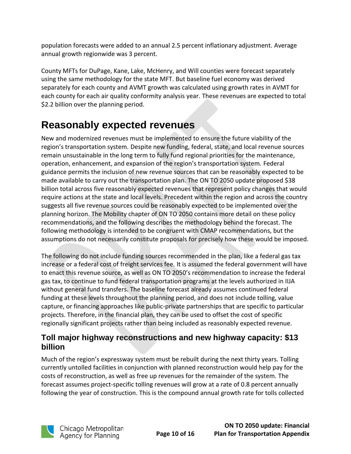population forecasts were added to an annual 2.5 percent inflationary adjustment. Average annual growth regionwide was 3 percent.

County MFTs for DuPage, Kane, Lake, McHenry, and Will counties were forecast separately using the same methodology for the state MFT. But baseline fuel economy was derived separately for each county and AVMT growth was calculated using growth rates in AVMT for each county for each air quality conformity analysis year. These revenues are expected to total \$2.2 billion over the planning period.

## <span id="page-9-0"></span>**Reasonably expected revenues**

New and modernized revenues must be implemented to ensure the future viability of the region's transportation system. Despite new funding, federal, state, and local revenue sources remain unsustainable in the long term to fully fund regional priorities for the maintenance, operation, enhancement, and expansion of the region's transportation system. Federal guidance permits the inclusion of new revenue sources that can be reasonably expected to be made available to carry out the transportation plan. The ON TO 2050 update proposed \$38 billion total across five reasonably expected revenues that represent policy changes that would require actions at the state and local levels. Precedent within the region and across the country suggests all five revenue sources could be reasonably expected to be implemented over the planning horizon. The Mobility chapter of ON TO 2050 contains more detail on these policy recommendations, and the following describes the methodology behind the forecast. The following methodology is intended to be congruent with CMAP recommendations, but the assumptions do not necessarily constitute proposals for precisely how these would be imposed.

The following do not include funding sources recommended in the plan, like a federal gas tax increase or a federal cost of freight services fee. It is assumed the federal government will have to enact this revenue source, as well as ON TO 2050's recommendation to increase the federal gas tax, to continue to fund federal transportation programs at the levels authorized in IIJA without general fund transfers. The baseline forecast already assumes continued federal funding at these levels throughout the planning period, and does not include tolling, value capture, or financing approaches like public-private partnerships that are specific to particular projects. Therefore, in the financial plan, they can be used to offset the cost of specific regionally significant projects rather than being included as reasonably expected revenue.

#### **Toll major highway reconstructions and new highway capacity: \$13 billion**

Much of the region's expressway system must be rebuilt during the next thirty years. Tolling currently untolled facilities in conjunction with planned reconstruction would help pay for the costs of reconstruction, as well as free up revenues for the remainder of the system. The forecast assumes project-specific tolling revenues will grow at a rate of 0.8 percent annually following the year of construction. This is the compound annual growth rate for tolls collected

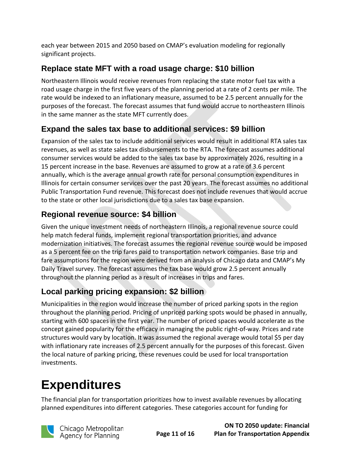each year between 2015 and 2050 based on CMAP's evaluation modeling for regionally significant projects.

#### **Replace state MFT with a road usage charge: \$10 billion**

Northeastern Illinois would receive revenues from replacing the state motor fuel tax with a road usage charge in the first five years of the planning period at a rate of 2 cents per mile. The rate would be indexed to an inflationary measure, assumed to be 2.5 percent annually for the purposes of the forecast. The forecast assumes that fund would accrue to northeastern Illinois in the same manner as the state MFT currently does.

#### **Expand the sales tax base to additional services: \$9 billion**

Expansion of the sales tax to include additional services would result in additional RTA sales tax revenues, as well as state sales tax disbursements to the RTA. The forecast assumes additional consumer services would be added to the sales tax base by approximately 2026, resulting in a 15 percent increase in the base. Revenues are assumed to grow at a rate of 3.6 percent annually, which is the average annual growth rate for personal consumption expenditures in Illinois for certain consumer services over the past 20 years. The forecast assumes no additional Public Transportation Fund revenue. This forecast does not include revenues that would accrue to the state or other local jurisdictions due to a sales tax base expansion.

#### **Regional revenue source: \$4 billion**

Given the unique investment needs of northeastern Illinois, a regional revenue source could help match federal funds, implement regional transportation priorities, and advance modernization initiatives. The forecast assumes the regional revenue source would be imposed as a 5 percent fee on the trip fares paid to transportation network companies. Base trip and fare assumptions for the region were derived from an analysis of Chicago data and CMAP's My Daily Travel survey. The forecast assumes the tax base would grow 2.5 percent annually throughout the planning period as a result of increases in trips and fares.

### **Local parking pricing expansion: \$2 billion**

Municipalities in the region would increase the number of priced parking spots in the region throughout the planning period. Pricing of unpriced parking spots would be phased in annually, starting with 600 spaces in the first year. The number of priced spaces would accelerate as the concept gained popularity for the efficacy in managing the public right-of-way. Prices and rate structures would vary by location. It was assumed the regional average would total \$5 per day with inflationary rate increases of 2.5 percent annually for the purposes of this forecast. Given the local nature of parking pricing, these revenues could be used for local transportation investments.

## <span id="page-10-0"></span>**Expenditures**

The financial plan for transportation prioritizes how to invest available revenues by allocating planned expenditures into different categories. These categories account for funding for

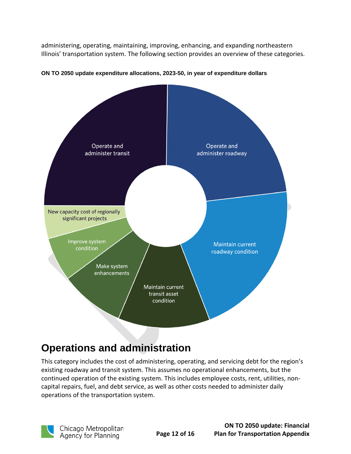administering, operating, maintaining, improving, enhancing, and expanding northeastern Illinois' transportation system. The following section provides an overview of these categories.



#### **ON TO 2050 update expenditure allocations, 2023-50, in year of expenditure dollars**

## <span id="page-11-0"></span>**Operations and administration**

This category includes the cost of administering, operating, and servicing debt for the region's existing roadway and transit system. This assumes no operational enhancements, but the continued operation of the existing system. This includes employee costs, rent, utilities, noncapital repairs, fuel, and debt service, as well as other costs needed to administer daily operations of the transportation system.

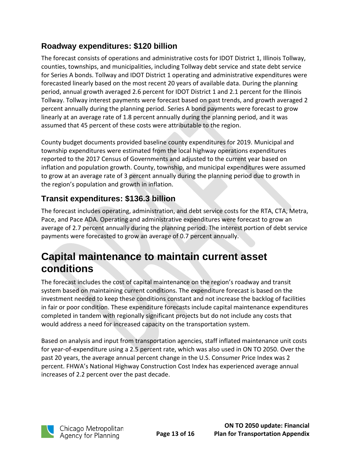#### **Roadway expenditures: \$120 billion**

The forecast consists of operations and administrative costs for IDOT District 1, Illinois Tollway, counties, townships, and municipalities, including Tollway debt service and state debt service for Series A bonds. Tollway and IDOT District 1 operating and administrative expenditures were forecasted linearly based on the most recent 20 years of available data. During the planning period, annual growth averaged 2.6 percent for IDOT District 1 and 2.1 percent for the Illinois Tollway. Tollway interest payments were forecast based on past trends, and growth averaged 2 percent annually during the planning period. Series A bond payments were forecast to grow linearly at an average rate of 1.8 percent annually during the planning period, and it was assumed that 45 percent of these costs were attributable to the region.

County budget documents provided baseline county expenditures for 2019. Municipal and township expenditures were estimated from the local highway operations expenditures reported to the 2017 Census of Governments and adjusted to the current year based on inflation and population growth. County, township, and municipal expenditures were assumed to grow at an average rate of 3 percent annually during the planning period due to growth in the region's population and growth in inflation.

#### **Transit expenditures: \$136.3 billion**

The forecast includes operating, administration, and debt service costs for the RTA, CTA, Metra, Pace, and Pace ADA. Operating and administrative expenditures were forecast to grow an average of 2.7 percent annually during the planning period. The interest portion of debt service payments were forecasted to grow an average of 0.7 percent annually.

### <span id="page-12-0"></span>**Capital maintenance to maintain current asset conditions**

The forecast includes the cost of capital maintenance on the region's roadway and transit system based on maintaining current conditions. The expenditure forecast is based on the investment needed to keep these conditions constant and not increase the backlog of facilities in fair or poor condition. These expenditure forecasts include capital maintenance expenditures completed in tandem with regionally significant projects but do not include any costs that would address a need for increased capacity on the transportation system.

Based on analysis and input from transportation agencies, staff inflated maintenance unit costs for year-of-expenditure using a 2.5 percent rate, which was also used in ON TO 2050. Over the past 20 years, the average annual percent change in the U.S. Consumer Price Index was 2 percent. FHWA's National Highway Construction Cost Index has experienced average annual increases of 2.2 percent over the past decade.

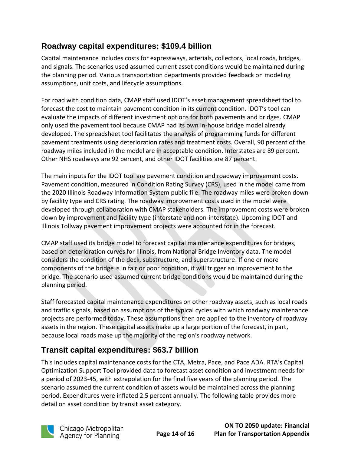#### **Roadway capital expenditures: \$109.4 billion**

Capital maintenance includes costs for expressways, arterials, collectors, local roads, bridges, and signals. The scenarios used assumed current asset conditions would be maintained during the planning period. Various transportation departments provided feedback on modeling assumptions, unit costs, and lifecycle assumptions.

For road with condition data, CMAP staff used IDOT's asset management spreadsheet tool to forecast the cost to maintain pavement condition in its current condition. IDOT's tool can evaluate the impacts of different investment options for both pavements and bridges. CMAP only used the pavement tool because CMAP had its own in-house bridge model already developed. The spreadsheet tool facilitates the analysis of programming funds for different pavement treatments using deterioration rates and treatment costs. Overall, 90 percent of the roadway miles included in the model are in acceptable condition. Interstates are 89 percent. Other NHS roadways are 92 percent, and other IDOT facilities are 87 percent.

The main inputs for the IDOT tool are pavement condition and roadway improvement costs. Pavement condition, measured in Condition Rating Survey (CRS), used in the model came from the 2020 Illinois Roadway Information System public file. The roadway miles were broken down by facility type and CRS rating. The roadway improvement costs used in the model were developed through collaboration with CMAP stakeholders. The improvement costs were broken down by improvement and facility type (interstate and non-interstate). Upcoming IDOT and Illinois Tollway pavement improvement projects were accounted for in the forecast.

CMAP staff used its bridge model to forecast capital maintenance expenditures for bridges, based on deterioration curves for Illinois, from National Bridge Inventory data. The model considers the condition of the deck, substructure, and superstructure. If one or more components of the bridge is in fair or poor condition, it will trigger an improvement to the bridge. The scenario used assumed current bridge conditions would be maintained during the planning period.

Staff forecasted capital maintenance expenditures on other roadway assets, such as local roads and traffic signals, based on assumptions of the typical cycles with which roadway maintenance projects are performed today. These assumptions then are applied to the inventory of roadway assets in the region. These capital assets make up a large portion of the forecast, in part, because local roads make up the majority of the region's roadway network.

#### **Transit capital expenditures: \$63.7 billion**

This includes capital maintenance costs for the CTA, Metra, Pace, and Pace ADA. RTA's Capital Optimization Support Tool provided data to forecast asset condition and investment needs for a period of 2023-45, with extrapolation for the final five years of the planning period. The scenario assumed the current condition of assets would be maintained across the planning period. Expenditures were inflated 2.5 percent annually. The following table provides more detail on asset condition by transit asset category.

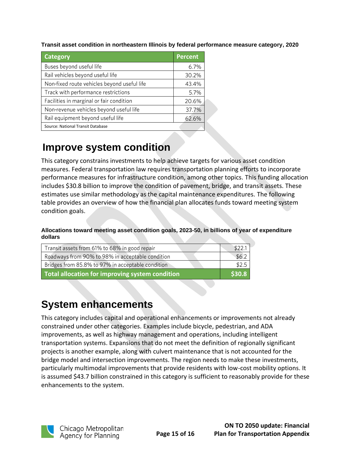**Transit asset condition in northeastern Illinois by federal performance measure category, 2020**

| Category                                    | <b>Percent</b> |
|---------------------------------------------|----------------|
| Buses beyond useful life                    | 6.7%           |
| Rail vehicles beyond useful life            | 30.2%          |
| Non-fixed route vehicles beyond useful life | 43.4%          |
| Track with performance restrictions         | 5.7%           |
| Facilities in marginal or fair condition    | 20.6%          |
| Non-revenue vehicles beyond useful life     | 37.7%          |
| Rail equipment beyond useful life           | 62.6%          |
| Source: National Transit Database           |                |

### <span id="page-14-0"></span>**Improve system condition**

This category constrains investments to help achieve targets for various asset condition measures. Federal transportation law requires transportation planning efforts to incorporate performance measures for infrastructure condition, among other topics. This funding allocation includes \$30.8 billion to improve the condition of pavement, bridge, and transit assets. These estimates use similar methodology as the capital maintenance expenditures. The following table provides an overview of how the financial plan allocates funds toward meeting system condition goals.

**Allocations toward meeting asset condition goals, 2023-50, in billions of year of expenditure dollars**

| Transit assets from 61% to 68% in good repair     | \$22.1 |
|---------------------------------------------------|--------|
| Roadways from 90% to 98% in acceptable condition  | \$6.2  |
| Bridges from 85.8% to 97% in acceptable condition | \$2.5  |
| Total allocation for improving system condition   | \$30.8 |

## <span id="page-14-1"></span>**System enhancements**

This category includes capital and operational enhancements or improvements not already constrained under other categories. Examples include bicycle, pedestrian, and ADA improvements, as well as highway management and operations, including intelligent transportation systems. Expansions that do not meet the definition of regionally significant projects is another example, along with culvert maintenance that is not accounted for the bridge model and intersection improvements. The region needs to make these investments, particularly multimodal improvements that provide residents with low-cost mobility options. It is assumed \$43.7 billion constrained in this category is sufficient to reasonably provide for these enhancements to the system.